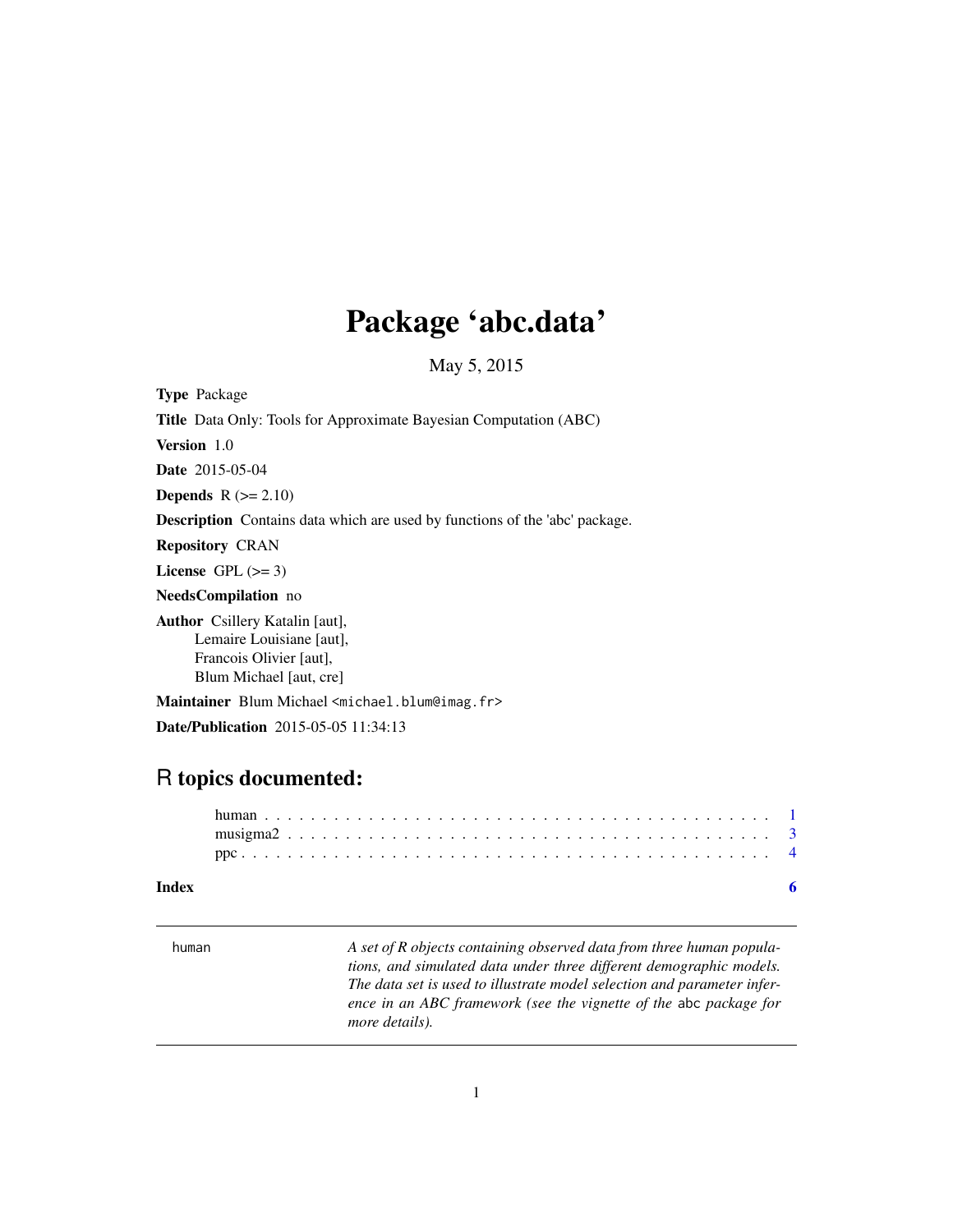## <span id="page-0-0"></span>Package 'abc.data'

May 5, 2015

Type Package Title Data Only: Tools for Approximate Bayesian Computation (ABC) Version 1.0 Date 2015-05-04 **Depends**  $R$  ( $>= 2.10$ ) Description Contains data which are used by functions of the 'abc' package. Repository CRAN License GPL  $(>= 3)$ NeedsCompilation no Author Csillery Katalin [aut], Lemaire Louisiane [aut], Francois Olivier [aut], Blum Michael [aut, cre] Maintainer Blum Michael <michael.blum@imag.fr> Date/Publication 2015-05-05 11:34:13

### R topics documented:

#### **Index** [6](#page-5-0) **6**

<span id="page-0-1"></span>

| human | A set of R objects containing observed data from three human popula-<br>tions, and simulated data under three different demographic models.<br>The data set is used to illustrate model selection and parameter infer-<br>ence in an ABC framework (see the vignette of the abc package for<br>more details). |
|-------|---------------------------------------------------------------------------------------------------------------------------------------------------------------------------------------------------------------------------------------------------------------------------------------------------------------|
|       |                                                                                                                                                                                                                                                                                                               |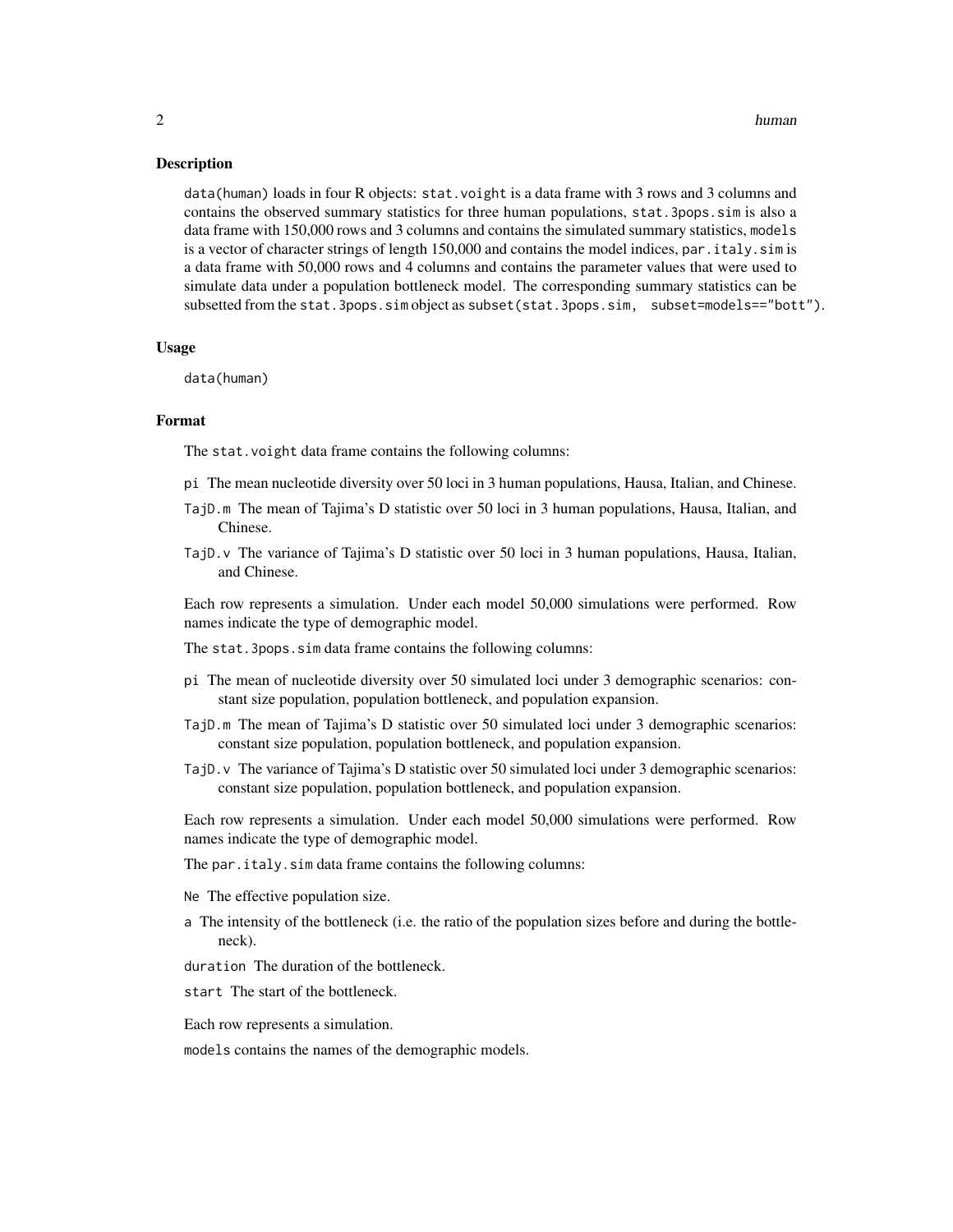#### $2 \th$ uman  $h$ uman  $h$ uman  $h$ uman  $h$ uman  $h$ uman  $h$ uman  $h$ uman  $h$ uman  $h$ uman  $h$ uman  $h$ uman  $h$ uman  $h$ uman  $h$ uman  $h$ uman  $h$ uman  $h$ uman  $h$ uman  $h$ uman  $h$ uman  $h$ uman  $h$ uman  $h$ uman  $h$ uman  $h$ uman  $h$ uman  $h$

#### Description

data(human) loads in four R objects: stat.voight is a data frame with 3 rows and 3 columns and contains the observed summary statistics for three human populations, stat.3pops.sim is also a data frame with 150,000 rows and 3 columns and contains the simulated summary statistics, models is a vector of character strings of length 150,000 and contains the model indices, par. italy. sim is a data frame with 50,000 rows and 4 columns and contains the parameter values that were used to simulate data under a population bottleneck model. The corresponding summary statistics can be subsetted from the stat.3pops.sim object as subset(stat.3pops.sim, subset=models=="bott").

#### Usage

data(human)

#### Format

The stat.voight data frame contains the following columns:

- pi The mean nucleotide diversity over 50 loci in 3 human populations, Hausa, Italian, and Chinese.
- TajD.m The mean of Tajima's D statistic over 50 loci in 3 human populations, Hausa, Italian, and Chinese.
- TajD.v The variance of Tajima's D statistic over 50 loci in 3 human populations, Hausa, Italian, and Chinese.

Each row represents a simulation. Under each model 50,000 simulations were performed. Row names indicate the type of demographic model.

The stat.3pops.sim data frame contains the following columns:

- pi The mean of nucleotide diversity over 50 simulated loci under 3 demographic scenarios: constant size population, population bottleneck, and population expansion.
- TajD.m The mean of Tajima's D statistic over 50 simulated loci under 3 demographic scenarios: constant size population, population bottleneck, and population expansion.
- TajD.v The variance of Tajima's D statistic over 50 simulated loci under 3 demographic scenarios: constant size population, population bottleneck, and population expansion.

Each row represents a simulation. Under each model 50,000 simulations were performed. Row names indicate the type of demographic model.

The par.italy.sim data frame contains the following columns:

- Ne The effective population size.
- a The intensity of the bottleneck (i.e. the ratio of the population sizes before and during the bottleneck).
- duration The duration of the bottleneck.

start The start of the bottleneck.

Each row represents a simulation.

models contains the names of the demographic models.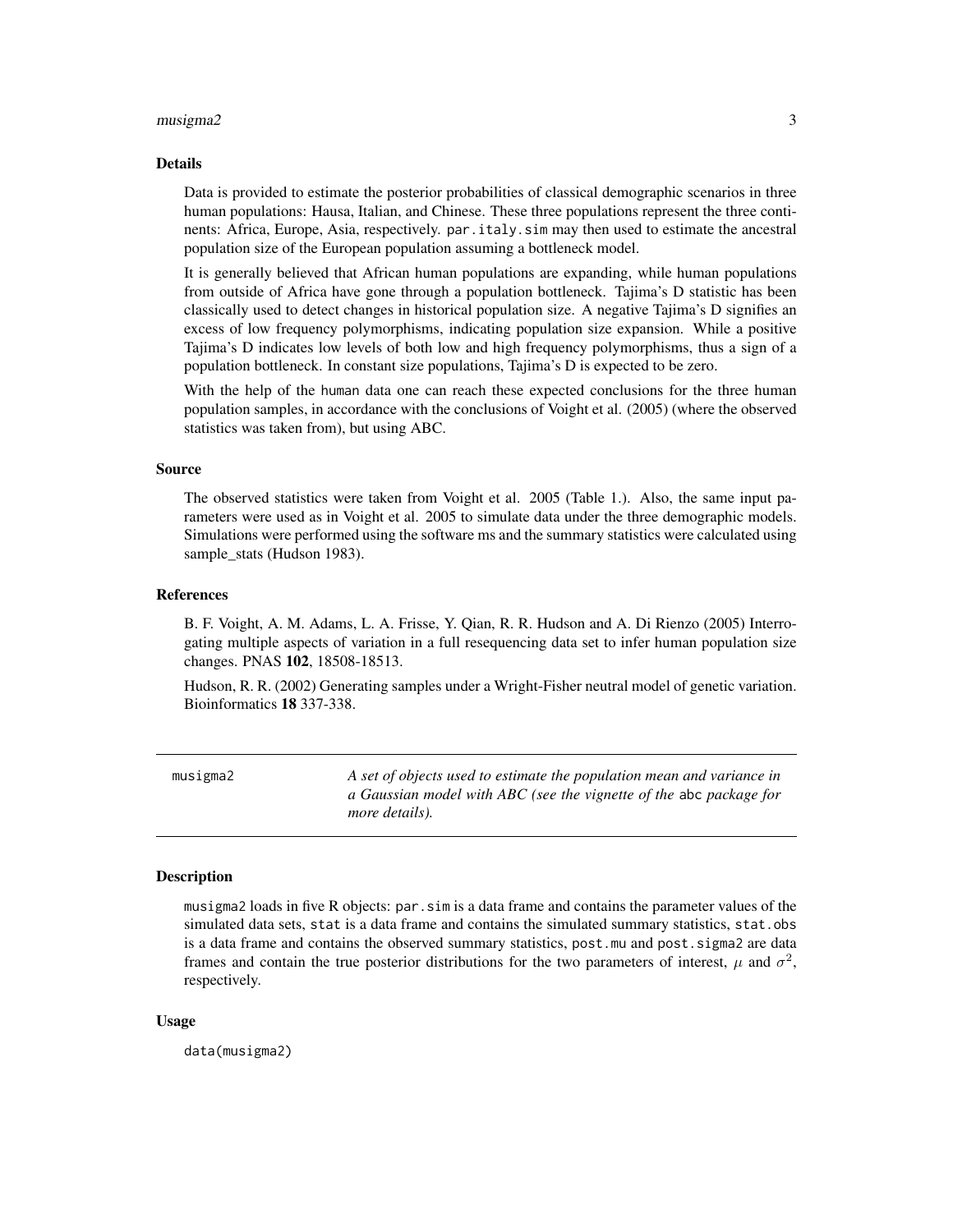#### <span id="page-2-0"></span> $m$ usigma $2$  3

#### Details

Data is provided to estimate the posterior probabilities of classical demographic scenarios in three human populations: Hausa, Italian, and Chinese. These three populations represent the three continents: Africa, Europe, Asia, respectively. par.italy.sim may then used to estimate the ancestral population size of the European population assuming a bottleneck model.

It is generally believed that African human populations are expanding, while human populations from outside of Africa have gone through a population bottleneck. Tajima's D statistic has been classically used to detect changes in historical population size. A negative Tajima's D signifies an excess of low frequency polymorphisms, indicating population size expansion. While a positive Tajima's D indicates low levels of both low and high frequency polymorphisms, thus a sign of a population bottleneck. In constant size populations, Tajima's D is expected to be zero.

With the help of the human data one can reach these expected conclusions for the three human population samples, in accordance with the conclusions of Voight et al. (2005) (where the observed statistics was taken from), but using ABC.

#### Source

The observed statistics were taken from Voight et al. 2005 (Table 1.). Also, the same input parameters were used as in Voight et al. 2005 to simulate data under the three demographic models. Simulations were performed using the software ms and the summary statistics were calculated using sample\_stats (Hudson 1983).

#### References

B. F. Voight, A. M. Adams, L. A. Frisse, Y. Qian, R. R. Hudson and A. Di Rienzo (2005) Interrogating multiple aspects of variation in a full resequencing data set to infer human population size changes. PNAS 102, 18508-18513.

Hudson, R. R. (2002) Generating samples under a Wright-Fisher neutral model of genetic variation. Bioinformatics 18 337-338.

musigma2 *A set of objects used to estimate the population mean and variance in a Gaussian model with ABC (see the vignette of the* abc *package for more details).*

#### **Description**

musigma2 loads in five R objects: par.sim is a data frame and contains the parameter values of the simulated data sets, stat is a data frame and contains the simulated summary statistics, stat.obs is a data frame and contains the observed summary statistics, post.mu and post.sigma2 are data frames and contain the true posterior distributions for the two parameters of interest,  $\mu$  and  $\sigma^2$ , respectively.

#### Usage

data(musigma2)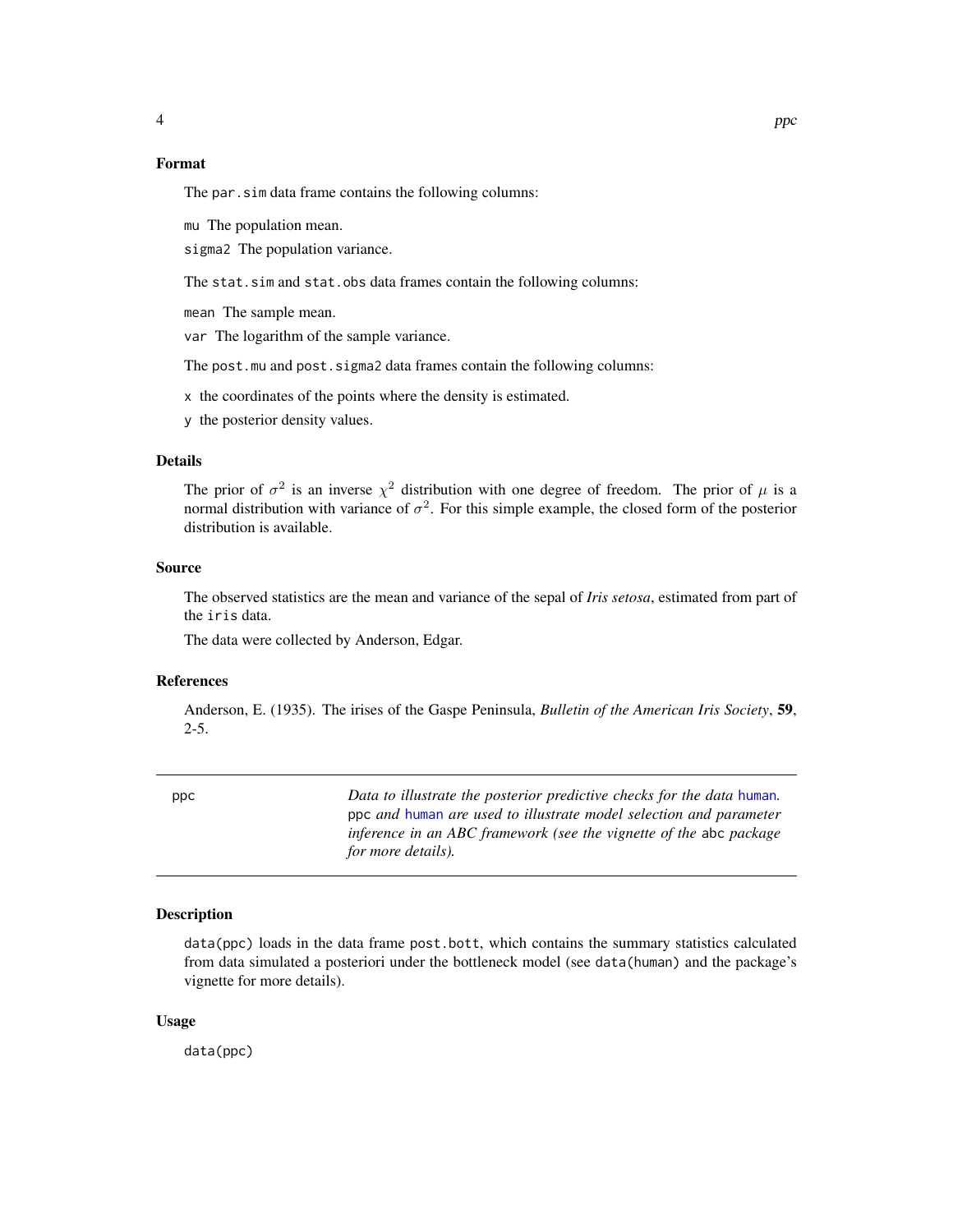#### <span id="page-3-0"></span>Format

The par.sim data frame contains the following columns:

mu The population mean.

sigma2 The population variance.

The stat.sim and stat.obs data frames contain the following columns:

mean The sample mean.

var The logarithm of the sample variance.

The post.mu and post.sigma2 data frames contain the following columns:

x the coordinates of the points where the density is estimated.

y the posterior density values.

#### Details

The prior of  $\sigma^2$  is an inverse  $\chi^2$  distribution with one degree of freedom. The prior of  $\mu$  is a normal distribution with variance of  $\sigma^2$ . For this simple example, the closed form of the posterior distribution is available.

#### Source

The observed statistics are the mean and variance of the sepal of *Iris setosa*, estimated from part of the iris data.

The data were collected by Anderson, Edgar.

#### References

Anderson, E. (1935). The irises of the Gaspe Peninsula, *Bulletin of the American Iris Society*, 59, 2-5.

| ppc | Data to illustrate the posterior predictive checks for the data human. |
|-----|------------------------------------------------------------------------|
|     | ppc and human are used to illustrate model selection and parameter     |
|     | inference in an ABC framework (see the vignette of the abc package     |
|     | for more details).                                                     |

#### Description

data(ppc) loads in the data frame post.bott, which contains the summary statistics calculated from data simulated a posteriori under the bottleneck model (see data(human) and the package's vignette for more details).

#### Usage

data(ppc)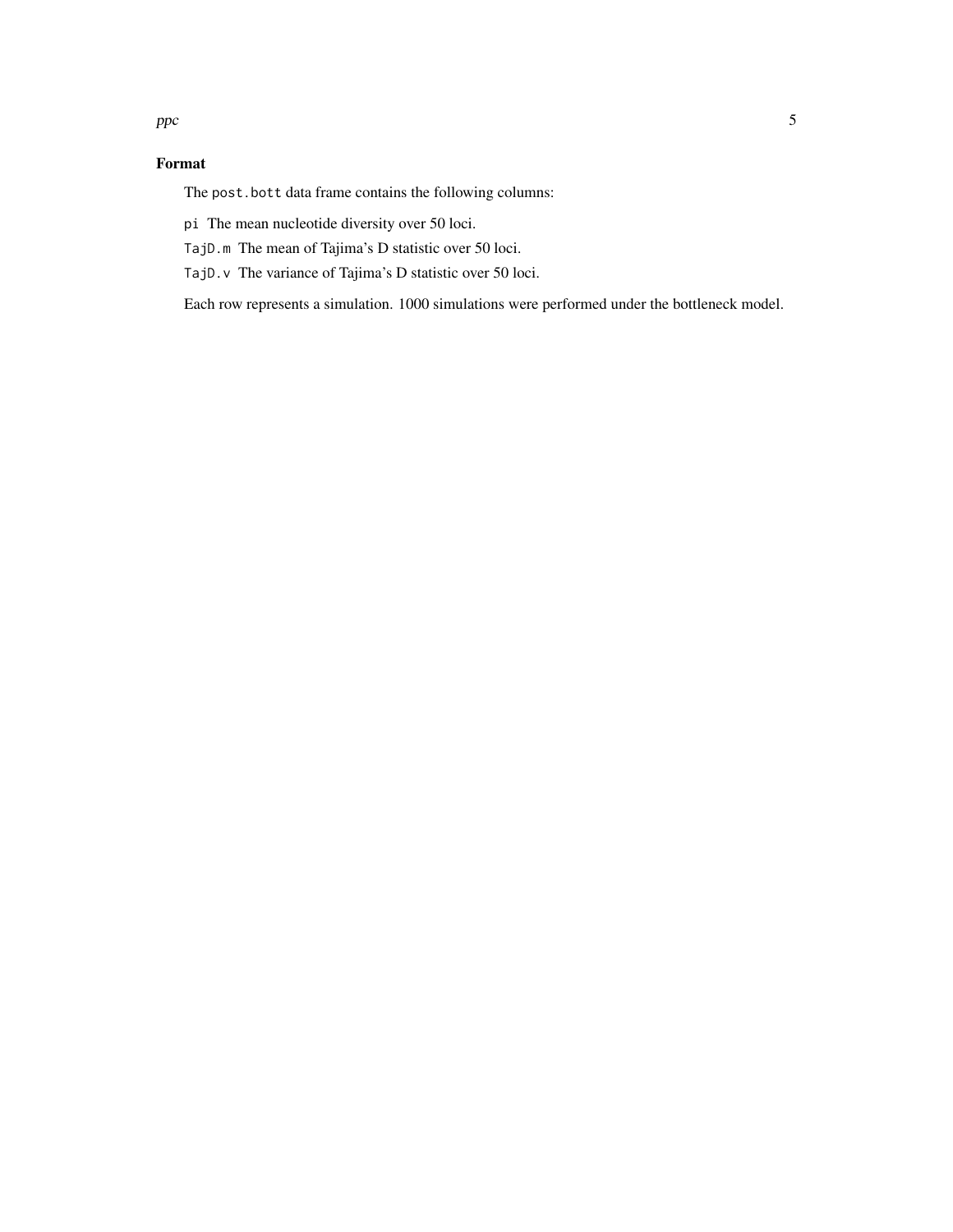#### Format

The post.bott data frame contains the following columns:

pi The mean nucleotide diversity over 50 loci.

TajD.m The mean of Tajima's D statistic over 50 loci.

TajD.v The variance of Tajima's D statistic over 50 loci.

Each row represents a simulation. 1000 simulations were performed under the bottleneck model.